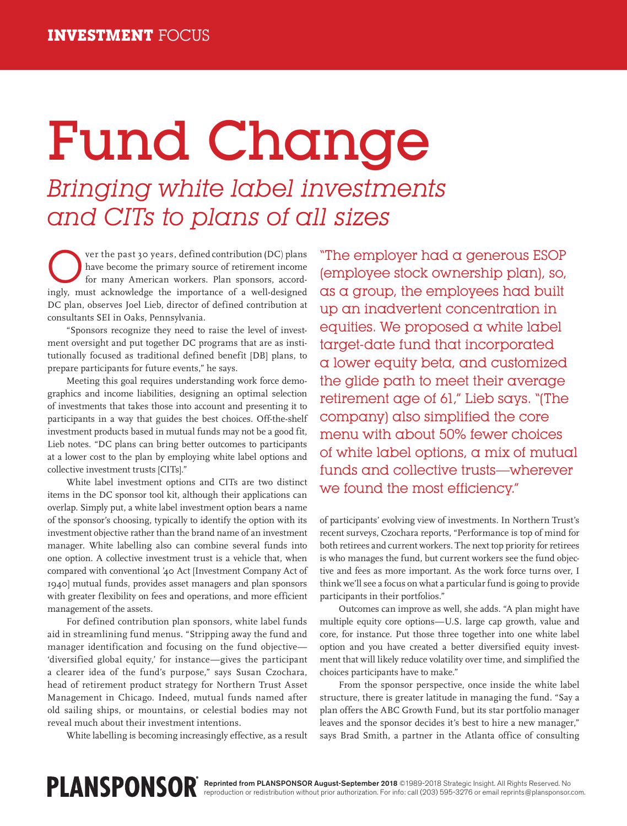## Fund Change

Bringing white label investments and CITs to plans of all sizes

Ver the past 30 years, defined contribution (DC) plans<br>have become the primary source of retirement income<br>for many American workers. Plan sponsors, accord-<br>inclusion of a multiplicated have become the primary source of retirement income ingly, must acknowledge the importance of a well-designed DC plan, observes Joel Lieb, director of defined contribution at consultants SEI in Oaks, Pennsylvania.

"Sponsors recognize they need to raise the level of investment oversight and put together DC programs that are as institutionally focused as traditional defined benefit [DB] plans, to prepare participants for future events," he says.

Meeting this goal requires understanding work force demographics and income liabilities, designing an optimal selection of investments that takes those into account and presenting it to participants in a way that guides the best choices. Off-the-shelf investment products based in mutual funds may not be a good fit, Lieb notes. "DC plans can bring better outcomes to participants at a lower cost to the plan by employing white label options and collective investment trusts [CITs]."

White label investment options and CITs are two distinct items in the DC sponsor tool kit, although their applications can overlap. Simply put, a white label investment option bears a name of the sponsor's choosing, typically to identify the option with its investment objective rather than the brand name of an investment manager. White labelling also can combine several funds into one option. A collective investment trust is a vehicle that, when compared with conventional '40 Act [Investment Company Act of 1940] mutual funds, provides asset managers and plan sponsors with greater flexibility on fees and operations, and more efficient management of the assets.

For defined contribution plan sponsors, white label funds aid in streamlining fund menus. "Stripping away the fund and manager identification and focusing on the fund objective— 'diversified global equity,' for instance—gives the participant a clearer idea of the fund's purpose," says Susan Czochara, head of retirement product strategy for Northern Trust Asset Management in Chicago. Indeed, mutual funds named after old sailing ships, or mountains, or celestial bodies may not reveal much about their investment intentions.

White labelling is becoming increasingly effective, as a result

"The employer had a generous ESOP [employee stock ownership plan], so, as a group, the employees had built up an inadvertent concentration in equities. We proposed a white label target-date fund that incorporated a lower equity beta, and customized the glide path to meet their average retirement age of 61," Lieb says. "[The company] also simplified the core menu with about 50% fewer choices of white label options, a mix of mutual funds and collective trusts—wherever we found the most efficiency."

of participants' evolving view of investments. In Northern Trust's recent surveys, Czochara reports, "Performance is top of mind for both retirees and current workers. The next top priority for retirees is who manages the fund, but current workers see the fund objective and fees as more important. As the work force turns over, I think we'll see a focus on what a particular fund is going to provide participants in their portfolios."

Outcomes can improve as well, she adds. "A plan might have multiple equity core options—U.S. large cap growth, value and core, for instance. Put those three together into one white label option and you have created a better diversified equity investment that will likely reduce volatility over time, and simplified the choices participants have to make."

From the sponsor perspective, once inside the white label structure, there is greater latitude in managing the fund. "Say a plan offers the ABC Growth Fund, but its star portfolio manager leaves and the sponsor decides it's best to hire a new manager," says Brad Smith, a partner in the Atlanta office of consulting